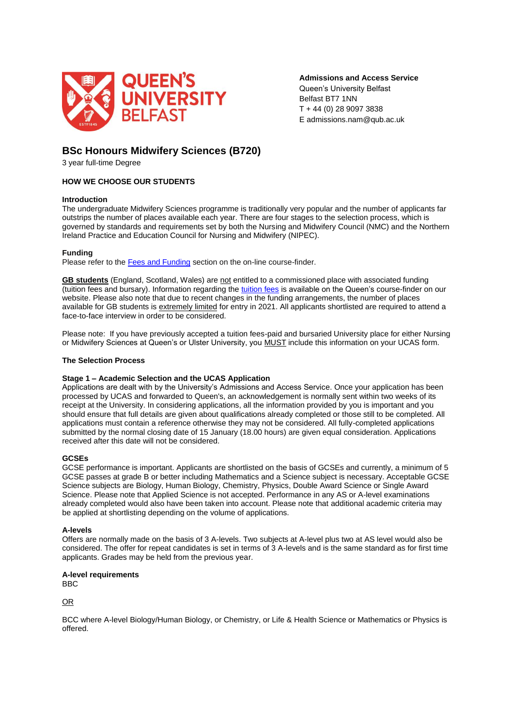

**Admissions and Access Service**

Queen's University Belfast Belfast BT7 1NN T + 44 (0) 28 9097 3838 E admissions.nam@qub.ac.uk

# **BSc Honours Midwifery Sciences (B720)**

3 year full-time Degree

# **HOW WE CHOOSE OUR STUDENTS**

# **Introduction**

The undergraduate Midwifery Sciences programme is traditionally very popular and the number of applicants far outstrips the number of places available each year. There are four stages to the selection process, which is governed by standards and requirements set by both the Nursing and Midwifery Council (NMC) and the Northern Ireland Practice and Education Council for Nursing and Midwifery (NIPEC).

# **Funding**

Please refer to the [Fees and Funding](https://www.qub.ac.uk/courses/undergraduate/midwifery-sciences-bsc-b720/#fees) section on the on-line course-finder.

**GB students** (England, Scotland, Wales) are not entitled to a commissioned place with associated funding (tuition fees and bursary). Information regarding the [tuition fees](https://www.qub.ac.uk/courses/undergraduate/midwifery-sciences-bsc-b720/#fees) is available on the Queen's course-finder on our website. Please also note that due to recent changes in the funding arrangements, the number of places available for GB students is extremely limited for entry in 2021. All applicants shortlisted are required to attend a face-to-face interview in order to be considered.

Please note: If you have previously accepted a tuition fees-paid and bursaried University place for either Nursing or Midwifery Sciences at Queen's or Ulster University, you MUST include this information on your UCAS form.

## **The Selection Process**

#### **Stage 1 – Academic Selection and the UCAS Application**

Applications are dealt with by the University's Admissions and Access Service. Once your application has been processed by UCAS and forwarded to Queen's, an acknowledgement is normally sent within two weeks of its receipt at the University. In considering applications, all the information provided by you is important and you should ensure that full details are given about qualifications already completed or those still to be completed. All applications must contain a reference otherwise they may not be considered. All fully-completed applications submitted by the normal closing date of 15 January (18.00 hours) are given equal consideration. Applications received after this date will not be considered.

#### **GCSEs**

GCSE performance is important. Applicants are shortlisted on the basis of GCSEs and currently, a minimum of 5 GCSE passes at grade B or better including Mathematics and a Science subject is necessary. Acceptable GCSE Science subjects are Biology, Human Biology, Chemistry, Physics, Double Award Science or Single Award Science. Please note that Applied Science is not accepted. Performance in any AS or A-level examinations already completed would also have been taken into account. Please note that additional academic criteria may be applied at shortlisting depending on the volume of applications.

#### **A-levels**

Offers are normally made on the basis of 3 A-levels. Two subjects at A-level plus two at AS level would also be considered. The offer for repeat candidates is set in terms of 3 A-levels and is the same standard as for first time applicants. Grades may be held from the previous year.

#### **A-level requirements**

BBC

OR

BCC where A-level Biology/Human Biology, or Chemistry, or Life & Health Science or Mathematics or Physics is offered.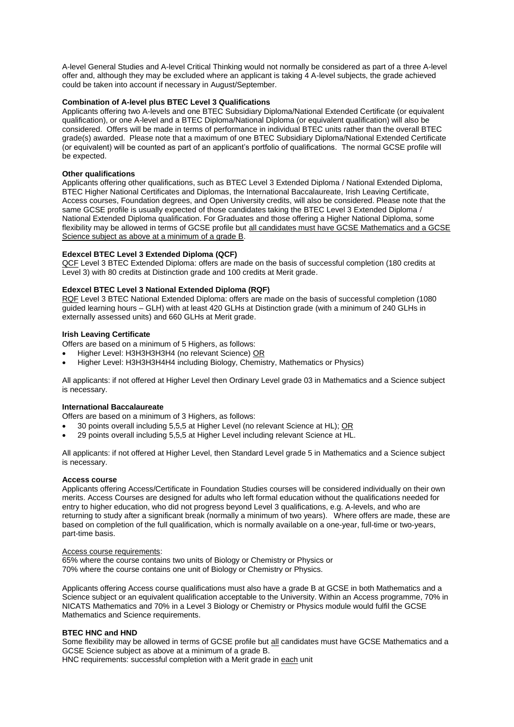A-level General Studies and A-level Critical Thinking would not normally be considered as part of a three A-level offer and, although they may be excluded where an applicant is taking 4 A-level subjects, the grade achieved could be taken into account if necessary in August/September.

# **Combination of A-level plus BTEC Level 3 Qualifications**

Applicants offering two A-levels and one BTEC Subsidiary Diploma/National Extended Certificate (or equivalent qualification), or one A-level and a BTEC Diploma/National Diploma (or equivalent qualification) will also be considered. Offers will be made in terms of performance in individual BTEC units rather than the overall BTEC grade(s) awarded. Please note that a maximum of one BTEC Subsidiary Diploma/National Extended Certificate (or equivalent) will be counted as part of an applicant's portfolio of qualifications. The normal GCSE profile will be expected.

#### **Other qualifications**

Applicants offering other qualifications, such as BTEC Level 3 Extended Diploma / National Extended Diploma, BTEC Higher National Certificates and Diplomas, the International Baccalaureate, Irish Leaving Certificate, Access courses, Foundation degrees, and Open University credits, will also be considered. Please note that the same GCSE profile is usually expected of those candidates taking the BTEC Level 3 Extended Diploma / National Extended Diploma qualification. For Graduates and those offering a Higher National Diploma, some flexibility may be allowed in terms of GCSE profile but all candidates must have GCSE Mathematics and a GCSE Science subject as above at a minimum of a grade B.

# **Edexcel BTEC Level 3 Extended Diploma (QCF)**

QCF Level 3 BTEC Extended Diploma: offers are made on the basis of successful completion (180 credits at Level 3) with 80 credits at Distinction grade and 100 credits at Merit grade.

# **Edexcel BTEC Level 3 National Extended Diploma (RQF)**

RQF Level 3 BTEC National Extended Diploma: offers are made on the basis of successful completion (1080 guided learning hours – GLH) with at least 420 GLHs at Distinction grade (with a minimum of 240 GLHs in externally assessed units) and 660 GLHs at Merit grade.

# **Irish Leaving Certificate**

Offers are based on a minimum of 5 Highers, as follows:

- Higher Level: H3H3H3H3H4 (no relevant Science) OR
- Higher Level: H3H3H3H4H4 including Biology, Chemistry, Mathematics or Physics)

All applicants: if not offered at Higher Level then Ordinary Level grade 03 in Mathematics and a Science subject is necessary.

#### **International Baccalaureate**

Offers are based on a minimum of 3 Highers, as follows:

- 30 points overall including 5,5,5 at Higher Level (no relevant Science at HL); OR
- 29 points overall including 5,5,5 at Higher Level including relevant Science at HL.

All applicants: if not offered at Higher Level, then Standard Level grade 5 in Mathematics and a Science subject is necessary.

#### **Access course**

Applicants offering Access/Certificate in Foundation Studies courses will be considered individually on their own merits. Access Courses are designed for adults who left formal education without the qualifications needed for entry to higher education, who did not progress beyond Level 3 qualifications, e.g. A-levels, and who are returning to study after a significant break (normally a minimum of two years). Where offers are made, these are based on completion of the full qualification, which is normally available on a one-year, full-time or two-years, part-time basis.

#### Access course requirements:

65% where the course contains two units of Biology or Chemistry or Physics or 70% where the course contains one unit of Biology or Chemistry or Physics.

Applicants offering Access course qualifications must also have a grade B at GCSE in both Mathematics and a Science subject or an equivalent qualification acceptable to the University. Within an Access programme, 70% in NICATS Mathematics and 70% in a Level 3 Biology or Chemistry or Physics module would fulfil the GCSE Mathematics and Science requirements.

#### **BTEC HNC and HND**

Some flexibility may be allowed in terms of GCSE profile but all candidates must have GCSE Mathematics and a GCSE Science subject as above at a minimum of a grade B.

HNC requirements: successful completion with a Merit grade in each unit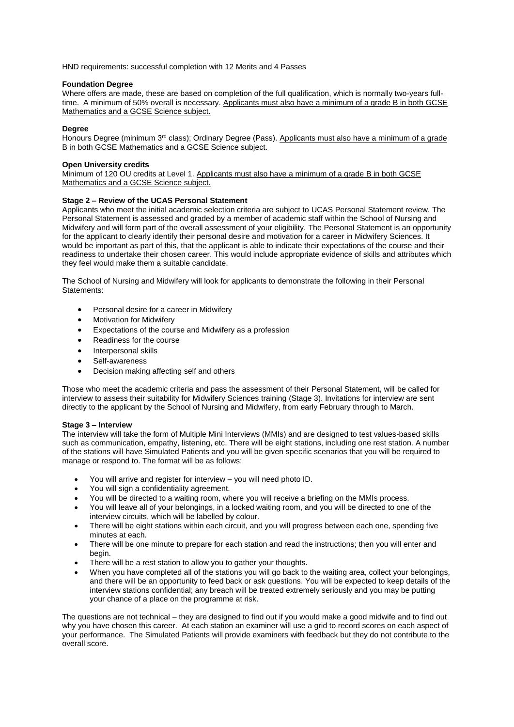HND requirements: successful completion with 12 Merits and 4 Passes

### **Foundation Degree**

Where offers are made, these are based on completion of the full qualification, which is normally two-years fulltime. A minimum of 50% overall is necessary. Applicants must also have a minimum of a grade B in both GCSE Mathematics and a GCSE Science subject.

# **Degree**

Honours Degree (minimum 3<sup>rd</sup> class); Ordinary Degree (Pass). Applicants must also have a minimum of a grade B in both GCSE Mathematics and a GCSE Science subject.

### **Open University credits**

Minimum of 120 OU credits at Level 1. Applicants must also have a minimum of a grade B in both GCSE Mathematics and a GCSE Science subject.

#### **Stage 2 – Review of the UCAS Personal Statement**

Applicants who meet the initial academic selection criteria are subject to UCAS Personal Statement review. The Personal Statement is assessed and graded by a member of academic staff within the School of Nursing and Midwifery and will form part of the overall assessment of your eligibility. The Personal Statement is an opportunity for the applicant to clearly identify their personal desire and motivation for a career in Midwifery Sciences. It would be important as part of this, that the applicant is able to indicate their expectations of the course and their readiness to undertake their chosen career. This would include appropriate evidence of skills and attributes which they feel would make them a suitable candidate.

The School of Nursing and Midwifery will look for applicants to demonstrate the following in their Personal Statements:

- Personal desire for a career in Midwifery
- Motivation for Midwifery
- Expectations of the course and Midwifery as a profession
- Readiness for the course
- Interpersonal skills
- Self-awareness
- Decision making affecting self and others

Those who meet the academic criteria and pass the assessment of their Personal Statement, will be called for interview to assess their suitability for Midwifery Sciences training (Stage 3). Invitations for interview are sent directly to the applicant by the School of Nursing and Midwifery, from early February through to March.

#### **Stage 3 – Interview**

The interview will take the form of Multiple Mini Interviews (MMIs) and are designed to test values-based skills such as communication, empathy, listening, etc. There will be eight stations, including one rest station. A number of the stations will have Simulated Patients and you will be given specific scenarios that you will be required to manage or respond to. The format will be as follows:

- You will arrive and register for interview you will need photo ID.
- You will sign a confidentiality agreement.
- You will be directed to a waiting room, where you will receive a briefing on the MMIs process.
- You will leave all of your belongings, in a locked waiting room, and you will be directed to one of the interview circuits, which will be labelled by colour.
- There will be eight stations within each circuit, and you will progress between each one, spending five minutes at each.
- There will be one minute to prepare for each station and read the instructions; then you will enter and begin.
- There will be a rest station to allow you to gather your thoughts.
- When you have completed all of the stations you will go back to the waiting area, collect your belongings, and there will be an opportunity to feed back or ask questions. You will be expected to keep details of the interview stations confidential; any breach will be treated extremely seriously and you may be putting your chance of a place on the programme at risk.

The questions are not technical – they are designed to find out if you would make a good midwife and to find out why you have chosen this career. At each station an examiner will use a grid to record scores on each aspect of your performance. The Simulated Patients will provide examiners with feedback but they do not contribute to the overall score.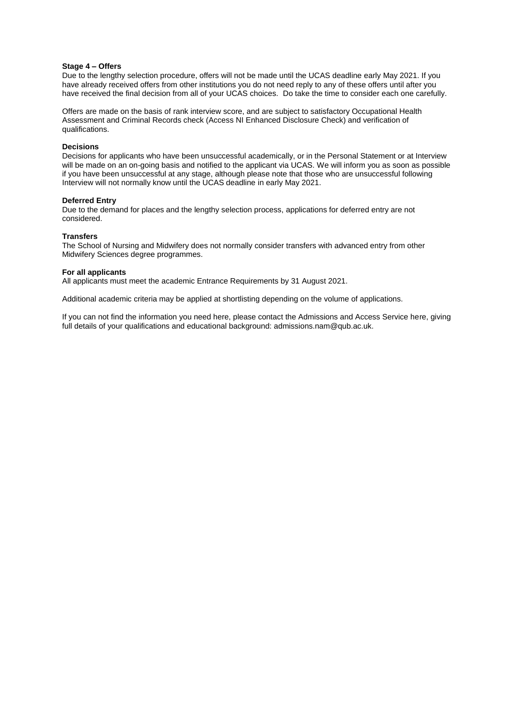#### **Stage 4 – Offers**

Due to the lengthy selection procedure, offers will not be made until the UCAS deadline early May 2021. If you have already received offers from other institutions you do not need reply to any of these offers until after you have received the final decision from all of your UCAS choices. Do take the time to consider each one carefully.

Offers are made on the basis of rank interview score, and are subject to satisfactory Occupational Health Assessment and Criminal Records check (Access NI Enhanced Disclosure Check) and verification of qualifications.

#### **Decisions**

Decisions for applicants who have been unsuccessful academically, or in the Personal Statement or at Interview will be made on an on-going basis and notified to the applicant via UCAS. We will inform you as soon as possible if you have been unsuccessful at any stage, although please note that those who are unsuccessful following Interview will not normally know until the UCAS deadline in early May 2021.

#### **Deferred Entry**

Due to the demand for places and the lengthy selection process, applications for deferred entry are not considered.

#### **Transfers**

The School of Nursing and Midwifery does not normally consider transfers with advanced entry from other Midwifery Sciences degree programmes.

#### **For all applicants**

All applicants must meet the academic Entrance Requirements by 31 August 2021.

Additional academic criteria may be applied at shortlisting depending on the volume of applications.

If you can not find the information you need here, please contact the Admissions and Access Service here, giving full details of your qualifications and educational background: admissions.nam@qub.ac.uk.